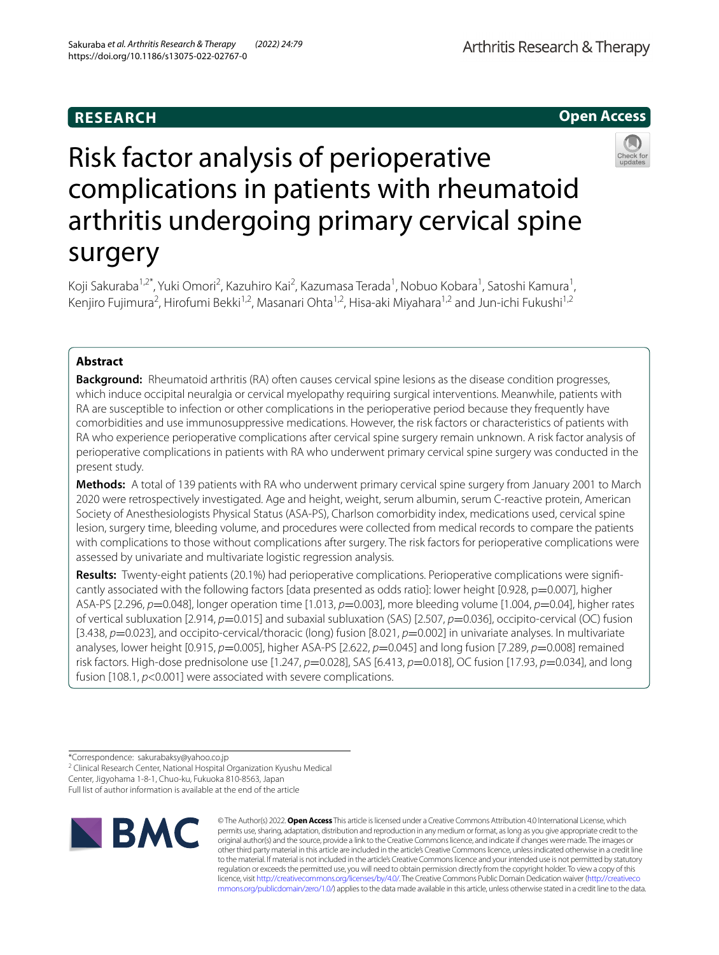# **RESEARCH**





# Risk factor analysis of perioperative complications in patients with rheumatoid arthritis undergoing primary cervical spine surgery

Koji Sakuraba<sup>1,2\*</sup>, Yuki Omori<sup>2</sup>, Kazuhiro Kai<sup>2</sup>, Kazumasa Terada<sup>1</sup>, Nobuo Kobara<sup>1</sup>, Satoshi Kamura<sup>1</sup>, Kenjiro Fujimura<sup>2</sup>, Hirofumi Bekki<sup>1,2</sup>, Masanari Ohta<sup>1,2</sup>, Hisa-aki Miyahara<sup>1,2</sup> and Jun-ichi Fukushi<sup>1,2</sup>

## **Abstract**

**Background:** Rheumatoid arthritis (RA) often causes cervical spine lesions as the disease condition progresses, which induce occipital neuralgia or cervical myelopathy requiring surgical interventions. Meanwhile, patients with RA are susceptible to infection or other complications in the perioperative period because they frequently have comorbidities and use immunosuppressive medications. However, the risk factors or characteristics of patients with RA who experience perioperative complications after cervical spine surgery remain unknown. A risk factor analysis of perioperative complications in patients with RA who underwent primary cervical spine surgery was conducted in the present study.

**Methods:** A total of 139 patients with RA who underwent primary cervical spine surgery from January 2001 to March 2020 were retrospectively investigated. Age and height, weight, serum albumin, serum C-reactive protein, American Society of Anesthesiologists Physical Status (ASA-PS), Charlson comorbidity index, medications used, cervical spine lesion, surgery time, bleeding volume, and procedures were collected from medical records to compare the patients with complications to those without complications after surgery. The risk factors for perioperative complications were assessed by univariate and multivariate logistic regression analysis.

**Results:** Twenty-eight patients (20.1%) had perioperative complications. Perioperative complications were significantly associated with the following factors [data presented as odds ratio]: lower height [0.928, p=0.007], higher ASA-PS [2.296, *p*=0.048], longer operation time [1.013, *p*=0.003], more bleeding volume [1.004, *p*=0.04], higher rates of vertical subluxation [2.914, *p*=0.015] and subaxial subluxation (SAS) [2.507, *p*=0.036], occipito-cervical (OC) fusion [3.438, *p*=0.023], and occipito-cervical/thoracic (long) fusion [8.021, *p*=0.002] in univariate analyses. In multivariate analyses, lower height [0.915, *p*=0.005], higher ASA-PS [2.622, *p*=0.045] and long fusion [7.289, *p*=0.008] remained risk factors. High-dose prednisolone use [1.247, *p*=0.028], SAS [6.413, *p*=0.018], OC fusion [17.93, *p*=0.034], and long fusion [108.1, *p*<0.001] were associated with severe complications.

<sup>2</sup> Clinical Research Center, National Hospital Organization Kyushu Medical Center, Jigyohama 1‑8‑1, Chuo‑ku, Fukuoka 810‑8563, Japan

Full list of author information is available at the end of the article



© The Author(s) 2022. **Open Access** This article is licensed under a Creative Commons Attribution 4.0 International License, which permits use, sharing, adaptation, distribution and reproduction in any medium or format, as long as you give appropriate credit to the original author(s) and the source, provide a link to the Creative Commons licence, and indicate if changes were made. The images or other third party material in this article are included in the article's Creative Commons licence, unless indicated otherwise in a credit line to the material. If material is not included in the article's Creative Commons licence and your intended use is not permitted by statutory regulation or exceeds the permitted use, you will need to obtain permission directly from the copyright holder. To view a copy of this licence, visit [http://creativecommons.org/licenses/by/4.0/.](http://creativecommons.org/licenses/by/4.0/) The Creative Commons Public Domain Dedication waiver ([http://creativeco](http://creativecommons.org/publicdomain/zero/1.0/) [mmons.org/publicdomain/zero/1.0/](http://creativecommons.org/publicdomain/zero/1.0/)) applies to the data made available in this article, unless otherwise stated in a credit line to the data.

<sup>\*</sup>Correspondence: sakurabaksy@yahoo.co.jp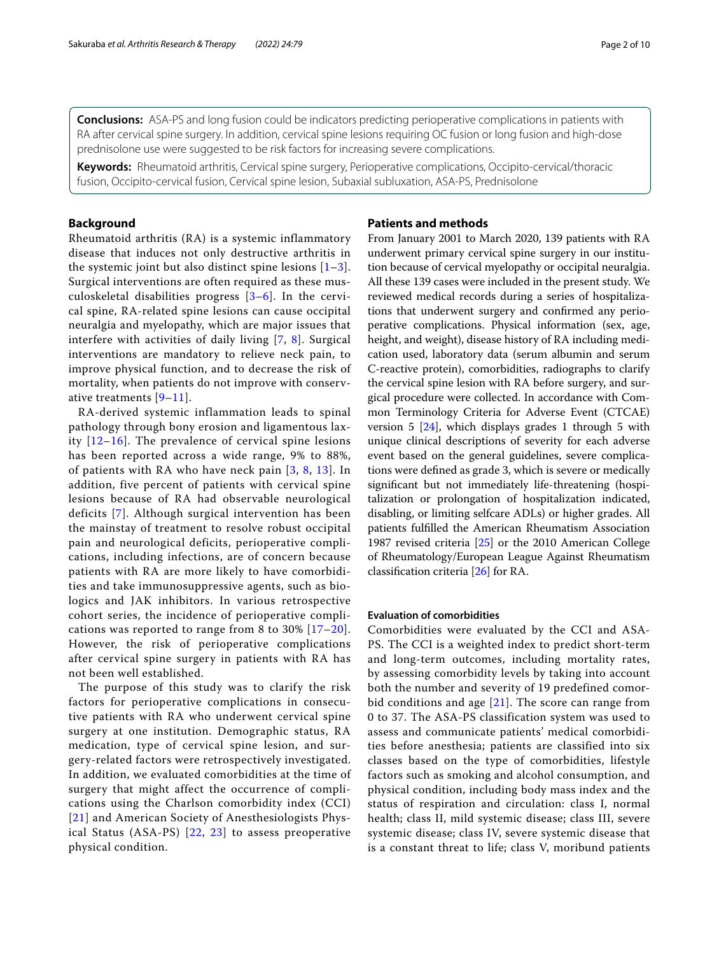**Conclusions:** ASA-PS and long fusion could be indicators predicting perioperative complications in patients with RA after cervical spine surgery. In addition, cervical spine lesions requiring OC fusion or long fusion and high-dose prednisolone use were suggested to be risk factors for increasing severe complications.

**Keywords:** Rheumatoid arthritis, Cervical spine surgery, Perioperative complications, Occipito-cervical/thoracic fusion, Occipito-cervical fusion, Cervical spine lesion, Subaxial subluxation, ASA-PS, Prednisolone

## **Background**

Rheumatoid arthritis (RA) is a systemic inflammatory disease that induces not only destructive arthritis in the systemic joint but also distinct spine lesions  $[1-3]$  $[1-3]$ . Surgical interventions are often required as these musculoskeletal disabilities progress [[3–](#page-8-1)[6\]](#page-8-2). In the cervical spine, RA-related spine lesions can cause occipital neuralgia and myelopathy, which are major issues that interfere with activities of daily living [[7](#page-8-3), [8\]](#page-8-4). Surgical interventions are mandatory to relieve neck pain, to improve physical function, and to decrease the risk of mortality, when patients do not improve with conservative treatments [[9–](#page-8-5)[11](#page-8-6)].

RA-derived systemic inflammation leads to spinal pathology through bony erosion and ligamentous laxity  $[12-16]$  $[12-16]$  $[12-16]$ . The prevalence of cervical spine lesions has been reported across a wide range, 9% to 88%, of patients with RA who have neck pain [[3](#page-8-1), [8](#page-8-4), [13](#page-8-9)]. In addition, five percent of patients with cervical spine lesions because of RA had observable neurological deficits [[7](#page-8-3)]. Although surgical intervention has been the mainstay of treatment to resolve robust occipital pain and neurological deficits, perioperative complications, including infections, are of concern because patients with RA are more likely to have comorbidities and take immunosuppressive agents, such as biologics and JAK inhibitors. In various retrospective cohort series, the incidence of perioperative complications was reported to range from 8 to 30% [[17](#page-8-10)[–20\]](#page-8-11). However, the risk of perioperative complications after cervical spine surgery in patients with RA has not been well established.

The purpose of this study was to clarify the risk factors for perioperative complications in consecutive patients with RA who underwent cervical spine surgery at one institution. Demographic status, RA medication, type of cervical spine lesion, and surgery-related factors were retrospectively investigated. In addition, we evaluated comorbidities at the time of surgery that might affect the occurrence of complications using the Charlson comorbidity index (CCI) [[21\]](#page-8-12) and American Society of Anesthesiologists Physical Status (ASA-PS) [[22](#page-8-13), [23\]](#page-8-14) to assess preoperative physical condition.

## **Patients and methods**

From January 2001 to March 2020, 139 patients with RA underwent primary cervical spine surgery in our institution because of cervical myelopathy or occipital neuralgia. All these 139 cases were included in the present study. We reviewed medical records during a series of hospitalizations that underwent surgery and confrmed any perioperative complications. Physical information (sex, age, height, and weight), disease history of RA including medication used, laboratory data (serum albumin and serum C-reactive protein), comorbidities, radiographs to clarify the cervical spine lesion with RA before surgery, and surgical procedure were collected. In accordance with Common Terminology Criteria for Adverse Event (CTCAE) version 5  $[24]$  $[24]$  $[24]$ , which displays grades 1 through 5 with unique clinical descriptions of severity for each adverse event based on the general guidelines, severe complications were defned as grade 3, which is severe or medically signifcant but not immediately life-threatening (hospitalization or prolongation of hospitalization indicated, disabling, or limiting selfcare ADLs) or higher grades. All patients fulflled the American Rheumatism Association 1987 revised criteria [\[25\]](#page-8-16) or the 2010 American College of Rheumatology/European League Against Rheumatism classifcation criteria [\[26](#page-8-17)] for RA.

## **Evaluation of comorbidities**

Comorbidities were evaluated by the CCI and ASA-PS. The CCI is a weighted index to predict short-term and long-term outcomes, including mortality rates, by assessing comorbidity levels by taking into account both the number and severity of 19 predefined comorbid conditions and age  $[21]$  $[21]$  $[21]$ . The score can range from 0 to 37. The ASA-PS classification system was used to assess and communicate patients' medical comorbidities before anesthesia; patients are classified into six classes based on the type of comorbidities, lifestyle factors such as smoking and alcohol consumption, and physical condition, including body mass index and the status of respiration and circulation: class I, normal health; class II, mild systemic disease; class III, severe systemic disease; class IV, severe systemic disease that is a constant threat to life; class V, moribund patients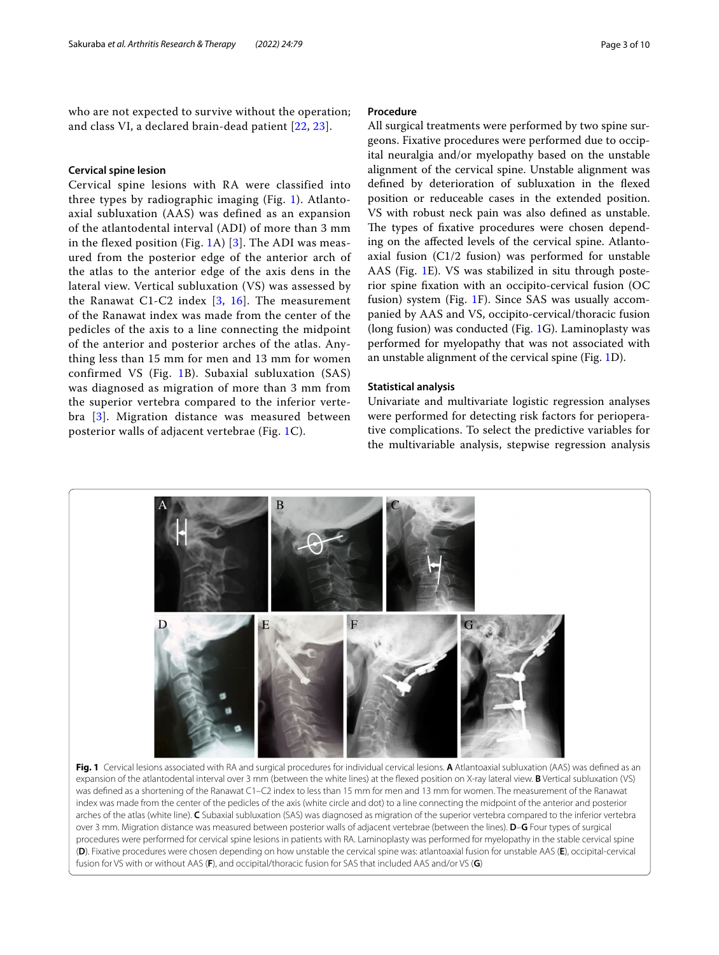who are not expected to survive without the operation; and class VI, a declared brain-dead patient [\[22](#page-8-13), [23\]](#page-8-14).

## **Cervical spine lesion**

Cervical spine lesions with RA were classified into three types by radiographic imaging (Fig. [1\)](#page-2-0). Atlantoaxial subluxation (AAS) was defined as an expansion of the atlantodental interval (ADI) of more than 3 mm in the flexed position (Fig. [1](#page-2-0)A) [[3](#page-8-1)]. The ADI was measured from the posterior edge of the anterior arch of the atlas to the anterior edge of the axis dens in the lateral view. Vertical subluxation (VS) was assessed by the Ranawat C1-C2 index [[3](#page-8-1), [16](#page-8-8)]. The measurement of the Ranawat index was made from the center of the pedicles of the axis to a line connecting the midpoint of the anterior and posterior arches of the atlas. Anything less than 15 mm for men and 13 mm for women confirmed VS (Fig. [1B](#page-2-0)). Subaxial subluxation (SAS) was diagnosed as migration of more than 3 mm from the superior vertebra compared to the inferior vertebra [[3\]](#page-8-1). Migration distance was measured between posterior walls of adjacent vertebrae (Fig. [1C](#page-2-0)).

## **Procedure**

All surgical treatments were performed by two spine surgeons. Fixative procedures were performed due to occipital neuralgia and/or myelopathy based on the unstable alignment of the cervical spine. Unstable alignment was defned by deterioration of subluxation in the fexed position or reduceable cases in the extended position. VS with robust neck pain was also defned as unstable. The types of fixative procedures were chosen depending on the afected levels of the cervical spine. Atlantoaxial fusion (C1/2 fusion) was performed for unstable AAS (Fig. [1](#page-2-0)E). VS was stabilized in situ through posterior spine fxation with an occipito-cervical fusion (OC fusion) system (Fig. [1F](#page-2-0)). Since SAS was usually accompanied by AAS and VS, occipito-cervical/thoracic fusion (long fusion) was conducted (Fig. [1](#page-2-0)G). Laminoplasty was performed for myelopathy that was not associated with an unstable alignment of the cervical spine (Fig. [1](#page-2-0)D).

### **Statistical analysis**

Univariate and multivariate logistic regression analyses were performed for detecting risk factors for perioperative complications. To select the predictive variables for the multivariable analysis, stepwise regression analysis

<span id="page-2-0"></span>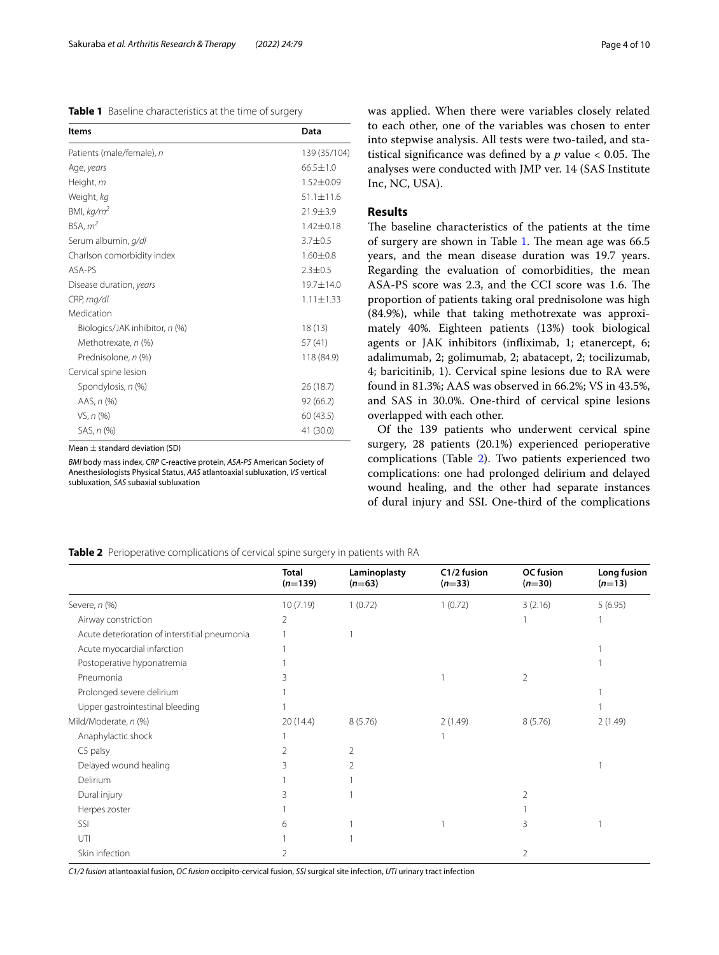<span id="page-3-0"></span>

| Table 1 Baseline characteristics at the time of surgery |
|---------------------------------------------------------|
|---------------------------------------------------------|

| Items                          | Data            |
|--------------------------------|-----------------|
| Patients (male/female), n      | 139 (35/104)    |
| Age, years                     | $66.5 \pm 1.0$  |
| Height, m                      | $1.52 \pm 0.09$ |
| Weight, kg                     | $51.1 \pm 11.6$ |
| BMI, $kq/m^2$                  | $21.9 + 3.9$    |
| BSA, m <sup>2</sup>            | $1.42 \pm 0.18$ |
| Serum albumin, g/dl            | $3.7 \pm 0.5$   |
| Charlson comorbidity index     | $1.60 \pm 0.8$  |
| ASA-PS                         | $2.3 \pm 0.5$   |
| Disease duration, years        | 19.7±14.0       |
| CRP, mg/dl                     | $1.11 \pm 1.33$ |
| Medication                     |                 |
| Biologics/JAK inhibitor, n (%) | 18(13)          |
| Methotrexate, n (%)            | 57 (41)         |
| Prednisolone, n (%)            | 118 (84.9)      |
| Cervical spine lesion          |                 |
| Spondylosis, n (%)             | 26(18.7)        |
| AAS, n (%)                     | 92 (66.2)       |
| VS, n (%)                      | 60 (43.5)       |
| SAS, n (%)                     | 41 (30.0)       |

Mean  $\pm$  standard deviation (SD)

*BMI* body mass index, *CRP* C-reactive protein, *ASA-PS* American Society of Anesthesiologists Physical Status, *AAS* atlantoaxial subluxation, *VS* vertical subluxation, *SAS* subaxial subluxation

was applied. When there were variables closely related to each other, one of the variables was chosen to enter into stepwise analysis. All tests were two-tailed, and statistical significance was defined by a  $p$  value  $< 0.05$ . The analyses were conducted with JMP ver. 14 (SAS Institute Inc, NC, USA).

## **Results**

The baseline characteristics of the patients at the time of surgery are shown in Table [1.](#page-3-0) The mean age was 66.5 years, and the mean disease duration was 19.7 years. Regarding the evaluation of comorbidities, the mean ASA-PS score was 2.3, and the CCI score was 1.6. The proportion of patients taking oral prednisolone was high (84.9%), while that taking methotrexate was approximately 40%. Eighteen patients (13%) took biological agents or JAK inhibitors (infiximab, 1; etanercept, 6; adalimumab, 2; golimumab, 2; abatacept, 2; tocilizumab, 4; baricitinib, 1). Cervical spine lesions due to RA were found in 81.3%; AAS was observed in 66.2%; VS in 43.5%, and SAS in 30.0%. One-third of cervical spine lesions overlapped with each other.

Of the 139 patients who underwent cervical spine surgery, 28 patients (20.1%) experienced perioperative complications (Table [2\)](#page-3-1). Two patients experienced two complications: one had prolonged delirium and delayed wound healing, and the other had separate instances of dural injury and SSI. One-third of the complications

<span id="page-3-1"></span>

| Table 2 Perioperative complications of cervical spine surgery in patients with RA |  |
|-----------------------------------------------------------------------------------|--|
|-----------------------------------------------------------------------------------|--|

|                                               | <b>Total</b><br>$(n=139)$ | Laminoplasty<br>$(n=63)$ | C1/2 fusion<br>$(n=33)$ | OC fusion<br>$(n=30)$ | Long fusion<br>$(n=13)$ |
|-----------------------------------------------|---------------------------|--------------------------|-------------------------|-----------------------|-------------------------|
| Severe, n (%)                                 | 10(7.19)                  | 1(0.72)                  | 1(0.72)                 | 3(2.16)               | 5(6.95)                 |
| Airway constriction                           | 2                         |                          |                         |                       |                         |
| Acute deterioration of interstitial pneumonia |                           |                          |                         |                       |                         |
| Acute myocardial infarction                   |                           |                          |                         |                       |                         |
| Postoperative hyponatremia                    |                           |                          |                         |                       |                         |
| Pneumonia                                     |                           |                          |                         | $\overline{2}$        |                         |
| Prolonged severe delirium                     |                           |                          |                         |                       |                         |
| Upper gastrointestinal bleeding               |                           |                          |                         |                       |                         |
| Mild/Moderate, n (%)                          | 20(14.4)                  | 8(5.76)                  | 2(1.49)                 | 8(5.76)               | 2(1.49)                 |
| Anaphylactic shock                            |                           |                          |                         |                       |                         |
| C5 palsy                                      | 2                         | $\overline{2}$           |                         |                       |                         |
| Delayed wound healing                         | 3                         | $\mathfrak{D}$           |                         |                       |                         |
| Delirium                                      |                           |                          |                         |                       |                         |
| Dural injury                                  | 3                         |                          |                         | 2                     |                         |
| Herpes zoster                                 |                           |                          |                         |                       |                         |
| SSI                                           | 6                         |                          |                         | 3                     |                         |
| UTI                                           |                           |                          |                         |                       |                         |
| Skin infection                                | 2                         |                          |                         | 2                     |                         |

*C1/2 fusion* atlantoaxial fusion, *OC fusion* occipito-cervical fusion, *SSI* surgical site infection, *UTI* urinary tract infection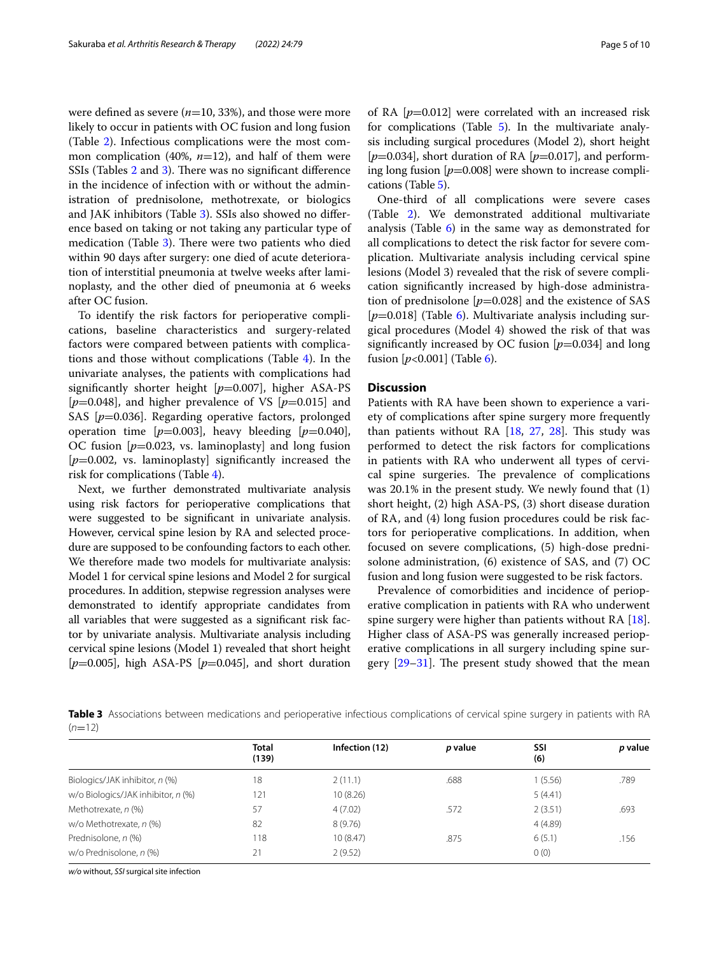were defned as severe (*n*=10, 33%), and those were more likely to occur in patients with OC fusion and long fusion (Table [2\)](#page-3-1). Infectious complications were the most common complication (40%, *n*=12), and half of them were SSIs (Tables  $2$  and  $3$ ). There was no significant difference in the incidence of infection with or without the administration of prednisolone, methotrexate, or biologics and JAK inhibitors (Table [3\)](#page-4-0). SSIs also showed no diference based on taking or not taking any particular type of medication (Table [3\)](#page-4-0). There were two patients who died within 90 days after surgery: one died of acute deterioration of interstitial pneumonia at twelve weeks after laminoplasty, and the other died of pneumonia at 6 weeks after OC fusion.

To identify the risk factors for perioperative complications, baseline characteristics and surgery-related factors were compared between patients with complications and those without complications (Table [4](#page-5-0)). In the univariate analyses, the patients with complications had significantly shorter height [ $p=0.007$ ], higher ASA-PS  $[p=0.048]$ , and higher prevalence of VS  $[p=0.015]$  and SAS [ $p=0.036$ ]. Regarding operative factors, prolonged operation time  $[p=0.003]$ , heavy bleeding  $[p=0.040]$ , OC fusion [*p*=0.023, vs. laminoplasty] and long fusion [ $p=0.002$ , vs. laminoplasty] significantly increased the risk for complications (Table [4\)](#page-5-0).

Next, we further demonstrated multivariate analysis using risk factors for perioperative complications that were suggested to be signifcant in univariate analysis. However, cervical spine lesion by RA and selected procedure are supposed to be confounding factors to each other. We therefore made two models for multivariate analysis: Model 1 for cervical spine lesions and Model 2 for surgical procedures. In addition, stepwise regression analyses were demonstrated to identify appropriate candidates from all variables that were suggested as a signifcant risk factor by univariate analysis. Multivariate analysis including cervical spine lesions (Model 1) revealed that short height [*p*=0.005], high ASA-PS [*p*=0.045], and short duration of RA [*p*=0.012] were correlated with an increased risk for complications (Table [5\)](#page-6-0). In the multivariate analysis including surgical procedures (Model 2), short height [ $p$ =0.034], short duration of RA [ $p$ =0.017], and performing long fusion [*p*=0.008] were shown to increase complications (Table [5](#page-6-0)).

One-third of all complications were severe cases (Table [2\)](#page-3-1). We demonstrated additional multivariate analysis (Table  $6$ ) in the same way as demonstrated for all complications to detect the risk factor for severe complication. Multivariate analysis including cervical spine lesions (Model 3) revealed that the risk of severe complication signifcantly increased by high-dose administration of prednisolone  $[p=0.028]$  and the existence of SAS [*p*=0.018] (Table [6](#page-6-1)). Multivariate analysis including surgical procedures (Model 4) showed the risk of that was signifcantly increased by OC fusion [*p*=0.034] and long fusion  $[p<0.001]$  (Table [6](#page-6-1)).

## **Discussion**

Patients with RA have been shown to experience a variety of complications after spine surgery more frequently than patients without RA  $[18, 27, 28]$  $[18, 27, 28]$  $[18, 27, 28]$  $[18, 27, 28]$  $[18, 27, 28]$ . This study was performed to detect the risk factors for complications in patients with RA who underwent all types of cervical spine surgeries. The prevalence of complications was 20.1% in the present study. We newly found that (1) short height, (2) high ASA-PS, (3) short disease duration of RA, and (4) long fusion procedures could be risk factors for perioperative complications. In addition, when focused on severe complications, (5) high-dose prednisolone administration, (6) existence of SAS, and (7) OC fusion and long fusion were suggested to be risk factors.

Prevalence of comorbidities and incidence of perioperative complication in patients with RA who underwent spine surgery were higher than patients without RA [\[18](#page-8-18)]. Higher class of ASA-PS was generally increased perioperative complications in all surgery including spine surgery  $[29-31]$  $[29-31]$  $[29-31]$ . The present study showed that the mean

<span id="page-4-0"></span>**Table 3** Associations between medications and perioperative infectious complications of cervical spine surgery in patients with RA  $(n=12)$ 

|                                    | <b>Total</b> |                |         |            |         |
|------------------------------------|--------------|----------------|---------|------------|---------|
|                                    | (139)        | Infection (12) | p value | SSI<br>(6) | p value |
| Biologics/JAK inhibitor, n (%)     | 18           | 2(11.1)        | .688    | 1 (5.56)   | .789    |
| w/o Biologics/JAK inhibitor, n (%) | 121          | 10(8.26)       |         | 5(4.41)    |         |
| Methotrexate, n (%)                | 57           | 4(7.02)        | .572    | 2(3.51)    | .693    |
| w/o Methotrexate, n (%)            | 82           | 8(9.76)        |         | 4(4.89)    |         |
| Prednisolone, n (%)                | 118          | 10(8.47)       | .875    | 6(5.1)     | .156    |
| w/o Prednisolone, n (%)            | 21           | 2(9.52)        |         | 0(0)       |         |

*w/o* without, *SSI* surgical site infection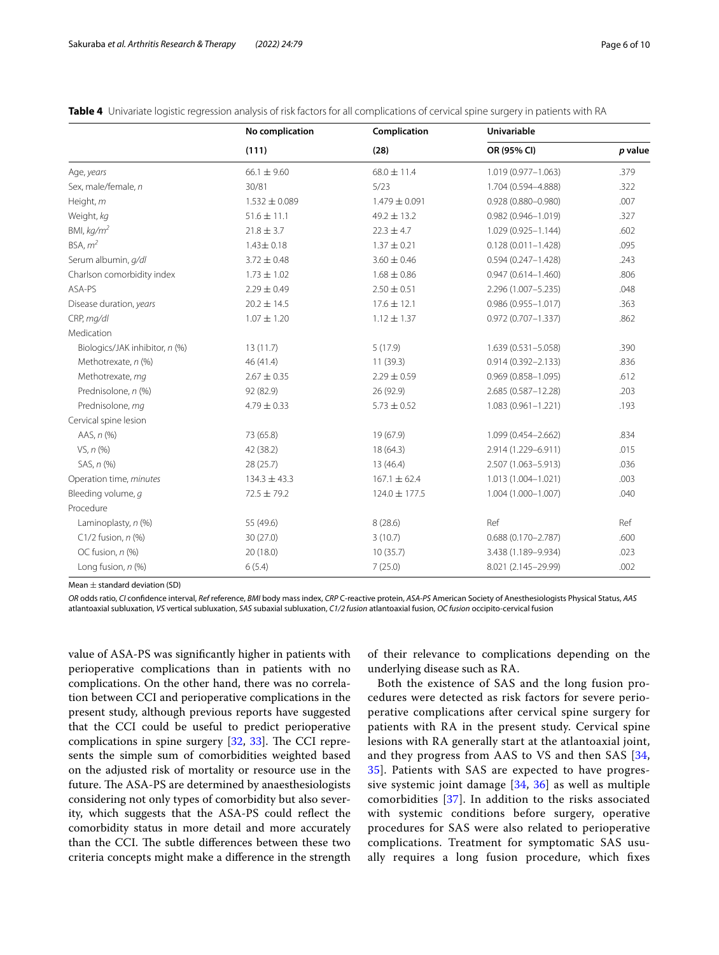|                                | No complication<br>(111) | Complication<br>(28) | <b>Univariable</b>     |         |  |
|--------------------------------|--------------------------|----------------------|------------------------|---------|--|
|                                |                          |                      | OR (95% CI)            | p value |  |
| Age, years                     | $66.1 \pm 9.60$          | $68.0 \pm 11.4$      | 1.019 (0.977-1.063)    | .379    |  |
| Sex, male/female, n            | 30/81                    | 5/23                 | 1.704 (0.594-4.888)    | .322    |  |
| Height, m                      | $1.532 \pm 0.089$        | $1.479 \pm 0.091$    | $0.928(0.880 - 0.980)$ | .007    |  |
| Weight, kg                     | $51.6 \pm 11.1$          | $49.2 \pm 13.2$      | $0.982(0.946 - 1.019)$ | .327    |  |
| BMI, $kg/m2$                   | $21.8 \pm 3.7$           | $22.3 \pm 4.7$       | 1.029 (0.925-1.144)    | .602    |  |
| BSA, m <sup>2</sup>            | $1.43 \pm 0.18$          | $1.37 \pm 0.21$      | $0.128(0.011 - 1.428)$ | .095    |  |
| Serum albumin, g/dl            | $3.72 \pm 0.48$          | $3.60 \pm 0.46$      | $0.594(0.247 - 1.428)$ | .243    |  |
| Charlson comorbidity index     | $1.73 \pm 1.02$          | $1.68 \pm 0.86$      | $0.947(0.614 - 1.460)$ | .806    |  |
| ASA-PS                         | $2.29 \pm 0.49$          | $2.50 \pm 0.51$      | 2.296 (1.007-5.235)    | .048    |  |
| Disease duration, years        | $20.2 \pm 14.5$          | $17.6 \pm 12.1$      | $0.986(0.955 - 1.017)$ | .363    |  |
| CRP, mg/dl                     | $1.07 \pm 1.20$          | $1.12 \pm 1.37$      | $0.972(0.707 - 1.337)$ | .862    |  |
| Medication                     |                          |                      |                        |         |  |
| Biologics/JAK inhibitor, n (%) | 13(11.7)                 | 5(17.9)              | $1.639(0.531 - 5.058)$ | .390    |  |
| Methotrexate, n (%)            | 46 (41.4)                | 11(39.3)             | $0.914(0.392 - 2.133)$ | .836    |  |
| Methotrexate, mq               | $2.67 \pm 0.35$          | $2.29 \pm 0.59$      | $0.969(0.858 - 1.095)$ | .612    |  |
| Prednisolone, n (%)            | 92 (82.9)                | 26 (92.9)            | 2.685 (0.587-12.28)    | .203    |  |
| Prednisolone, mq               | $4.79 \pm 0.33$          | $5.73 \pm 0.52$      | $1.083(0.961 - 1.221)$ | .193    |  |
| Cervical spine lesion          |                          |                      |                        |         |  |
| AAS, n (%)                     | 73 (65.8)                | 19 (67.9)            | 1.099 (0.454-2.662)    | .834    |  |
| VS, n (%)                      | 42 (38.2)                | 18(64.3)             | 2.914 (1.229-6.911)    | .015    |  |
| SAS, n (%)                     | 28 (25.7)                | 13(46.4)             | 2.507 (1.063-5.913)    | .036    |  |
| Operation time, minutes        | $134.3 \pm 43.3$         | $167.1 \pm 62.4$     | 1.013 (1.004-1.021)    | .003    |  |
| Bleeding volume, q             | $72.5 \pm 79.2$          | 124.0 ± 177.5        | 1.004 (1.000-1.007)    | .040    |  |
| Procedure                      |                          |                      |                        |         |  |
| Laminoplasty, n (%)            | 55 (49.6)                | 8(28.6)              | Ref                    | Ref     |  |
| $C1/2$ fusion, $n$ (%)         | 30 (27.0)                | 3(10.7)              | $0.688(0.170 - 2.787)$ | .600    |  |
| OC fusion, n (%)               | 20 (18.0)                | 10(35.7)             | 3.438 (1.189-9.934)    | .023    |  |
| Long fusion, n (%)             | 6(5.4)                   | 7(25.0)              | 8.021 (2.145-29.99)    | .002    |  |

<span id="page-5-0"></span>**Table 4** Univariate logistic regression analysis of risk factors for all complications of cervical spine surgery in patients with RA

Mean ± standard deviation (SD)

*OR* odds ratio, *CI* confdence interval, *Ref* reference, *BMI* body mass index, *CRP* C-reactive protein, *ASA-PS* American Society of Anesthesiologists Physical Status, *AAS* atlantoaxial subluxation, *VS* vertical subluxation, *SAS* subaxial subluxation, *C1/2 fusion* atlantoaxial fusion, *OC fusion* occipito-cervical fusion

value of ASA-PS was signifcantly higher in patients with perioperative complications than in patients with no complications. On the other hand, there was no correlation between CCI and perioperative complications in the present study, although previous reports have suggested that the CCI could be useful to predict perioperative complications in spine surgery  $[32, 33]$  $[32, 33]$  $[32, 33]$ . The CCI represents the simple sum of comorbidities weighted based on the adjusted risk of mortality or resource use in the future. The ASA-PS are determined by anaesthesiologists considering not only types of comorbidity but also severity, which suggests that the ASA-PS could refect the comorbidity status in more detail and more accurately than the CCI. The subtle differences between these two criteria concepts might make a diference in the strength

of their relevance to complications depending on the underlying disease such as RA.

Both the existence of SAS and the long fusion procedures were detected as risk factors for severe perioperative complications after cervical spine surgery for patients with RA in the present study. Cervical spine lesions with RA generally start at the atlantoaxial joint, and they progress from AAS to VS and then SAS [\[34](#page-8-25), [35\]](#page-8-26). Patients with SAS are expected to have progressive systemic joint damage [[34](#page-8-25), [36](#page-8-27)] as well as multiple comorbidities [\[37](#page-8-28)]. In addition to the risks associated with systemic conditions before surgery, operative procedures for SAS were also related to perioperative complications. Treatment for symptomatic SAS usually requires a long fusion procedure, which fxes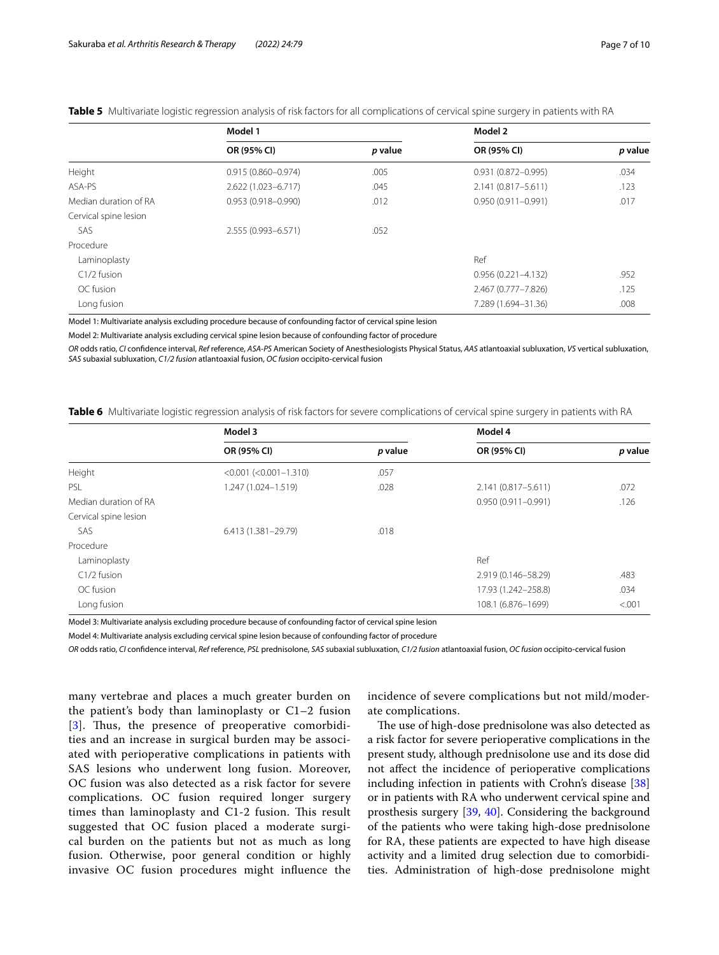|                       | Model 1                |         | Model 2                |         |
|-----------------------|------------------------|---------|------------------------|---------|
|                       | OR (95% CI)            | p value | OR (95% CI)            | p value |
| Height                | $0.915(0.860 - 0.974)$ | .005    | $0.931(0.872 - 0.995)$ | .034    |
| ASA-PS                | 2.622 (1.023-6.717)    | .045    | 2.141 (0.817-5.611)    | .123    |
| Median duration of RA | $0.953(0.918 - 0.990)$ | .012    | $0.950(0.911 - 0.991)$ | .017    |
| Cervical spine lesion |                        |         |                        |         |
| SAS                   | 2.555 (0.993-6.571)    | .052    |                        |         |
| Procedure             |                        |         |                        |         |
| Laminoplasty          |                        |         | Ref                    |         |
| C1/2 fusion           |                        |         | $0.956(0.221 - 4.132)$ | .952    |
| OC fusion             |                        |         | 2.467 (0.777-7.826)    | .125    |
| Long fusion           |                        |         | 7.289 (1.694-31.36)    | .008    |

## <span id="page-6-0"></span>**Table 5** Multivariate logistic regression analysis of risk factors for all complications of cervical spine surgery in patients with RA

Model 1: Multivariate analysis excluding procedure because of confounding factor of cervical spine lesion

Model 2: Multivariate analysis excluding cervical spine lesion because of confounding factor of procedure

*OR* odds ratio, *CI* confdence interval, *Ref* reference, *ASA-PS* American Society of Anesthesiologists Physical Status, *AAS* atlantoaxial subluxation, *VS* vertical subluxation, *SAS* subaxial subluxation, *C1/2 fusion* atlantoaxial fusion, *OC fusion* occipito-cervical fusion

<span id="page-6-1"></span>**Table 6** Multivariate logistic regression analysis of risk factors for severe complications of cervical spine surgery in patients with RA

|                       | Model 3                     |         | Model 4                |         |  |
|-----------------------|-----------------------------|---------|------------------------|---------|--|
|                       | OR (95% CI)                 | p value | OR (95% CI)            | p value |  |
| Height                | $< 0.001 (< 0.001 - 1.310)$ | .057    |                        |         |  |
| <b>PSL</b>            | 1.247 (1.024-1.519)         | .028    | 2.141 (0.817-5.611)    | .072    |  |
| Median duration of RA |                             |         | $0.950(0.911 - 0.991)$ | .126    |  |
| Cervical spine lesion |                             |         |                        |         |  |
| SAS                   | 6.413 (1.381-29.79)         | .018    |                        |         |  |
| Procedure             |                             |         |                        |         |  |
| Laminoplasty          |                             |         | Ref                    |         |  |
| C1/2 fusion           |                             |         | 2.919 (0.146-58.29)    | .483    |  |
| OC fusion             |                             |         | 17.93 (1.242-258.8)    | .034    |  |
| Long fusion           |                             |         | 108.1 (6.876-1699)     | < .001  |  |

Model 3: Multivariate analysis excluding procedure because of confounding factor of cervical spine lesion

Model 4: Multivariate analysis excluding cervical spine lesion because of confounding factor of procedure

*OR* odds ratio, *CI* confdence interval, *Ref* reference, *PSL* prednisolone, *SAS* subaxial subluxation, *C1/2 fusion* atlantoaxial fusion, *OC fusion* occipito-cervical fusion

many vertebrae and places a much greater burden on the patient's body than laminoplasty or C1–2 fusion [[3](#page-8-1)]. Thus, the presence of preoperative comorbidities and an increase in surgical burden may be associated with perioperative complications in patients with SAS lesions who underwent long fusion. Moreover, OC fusion was also detected as a risk factor for severe complications. OC fusion required longer surgery times than laminoplasty and C1-2 fusion. This result suggested that OC fusion placed a moderate surgical burden on the patients but not as much as long fusion. Otherwise, poor general condition or highly invasive OC fusion procedures might infuence the incidence of severe complications but not mild/moderate complications.

The use of high-dose prednisolone was also detected as a risk factor for severe perioperative complications in the present study, although prednisolone use and its dose did not afect the incidence of perioperative complications including infection in patients with Crohn's disease [[38](#page-8-29)] or in patients with RA who underwent cervical spine and prosthesis surgery [\[39](#page-9-0), [40\]](#page-9-1). Considering the background of the patients who were taking high-dose prednisolone for RA, these patients are expected to have high disease activity and a limited drug selection due to comorbidities. Administration of high-dose prednisolone might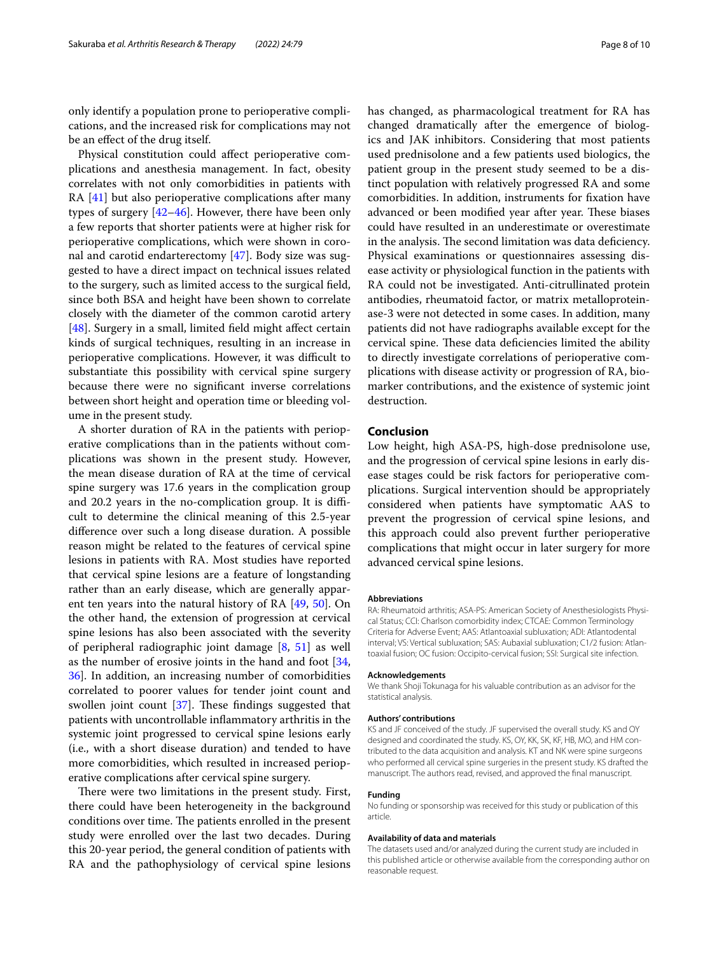only identify a population prone to perioperative complications, and the increased risk for complications may not be an efect of the drug itself.

Physical constitution could afect perioperative complications and anesthesia management. In fact, obesity correlates with not only comorbidities in patients with RA [\[41](#page-9-2)] but also perioperative complications after many types of surgery [[42–](#page-9-3)[46\]](#page-9-4). However, there have been only a few reports that shorter patients were at higher risk for perioperative complications, which were shown in coronal and carotid endarterectomy [[47\]](#page-9-5). Body size was suggested to have a direct impact on technical issues related to the surgery, such as limited access to the surgical feld, since both BSA and height have been shown to correlate closely with the diameter of the common carotid artery [[48\]](#page-9-6). Surgery in a small, limited field might affect certain kinds of surgical techniques, resulting in an increase in perioperative complications. However, it was difficult to substantiate this possibility with cervical spine surgery because there were no signifcant inverse correlations between short height and operation time or bleeding volume in the present study.

A shorter duration of RA in the patients with perioperative complications than in the patients without complications was shown in the present study. However, the mean disease duration of RA at the time of cervical spine surgery was 17.6 years in the complication group and 20.2 years in the no-complication group. It is difficult to determine the clinical meaning of this 2.5-year diference over such a long disease duration. A possible reason might be related to the features of cervical spine lesions in patients with RA. Most studies have reported that cervical spine lesions are a feature of longstanding rather than an early disease, which are generally apparent ten years into the natural history of RA [[49,](#page-9-7) [50\]](#page-9-8). On the other hand, the extension of progression at cervical spine lesions has also been associated with the severity of peripheral radiographic joint damage [\[8](#page-8-4), [51](#page-9-9)] as well as the number of erosive joints in the hand and foot [\[34](#page-8-25), [36\]](#page-8-27). In addition, an increasing number of comorbidities correlated to poorer values for tender joint count and swollen joint count  $[37]$  $[37]$ . These findings suggested that patients with uncontrollable infammatory arthritis in the systemic joint progressed to cervical spine lesions early (i.e., with a short disease duration) and tended to have more comorbidities, which resulted in increased perioperative complications after cervical spine surgery.

There were two limitations in the present study. First, there could have been heterogeneity in the background conditions over time. The patients enrolled in the present study were enrolled over the last two decades. During this 20-year period, the general condition of patients with RA and the pathophysiology of cervical spine lesions has changed, as pharmacological treatment for RA has changed dramatically after the emergence of biologics and JAK inhibitors. Considering that most patients used prednisolone and a few patients used biologics, the patient group in the present study seemed to be a distinct population with relatively progressed RA and some comorbidities. In addition, instruments for fxation have advanced or been modified year after year. These biases could have resulted in an underestimate or overestimate in the analysis. The second limitation was data deficiency. Physical examinations or questionnaires assessing disease activity or physiological function in the patients with RA could not be investigated. Anti-citrullinated protein antibodies, rheumatoid factor, or matrix metalloproteinase-3 were not detected in some cases. In addition, many patients did not have radiographs available except for the cervical spine. These data deficiencies limited the ability to directly investigate correlations of perioperative complications with disease activity or progression of RA, biomarker contributions, and the existence of systemic joint destruction.

#### **Conclusion**

Low height, high ASA-PS, high-dose prednisolone use, and the progression of cervical spine lesions in early disease stages could be risk factors for perioperative complications. Surgical intervention should be appropriately considered when patients have symptomatic AAS to prevent the progression of cervical spine lesions, and this approach could also prevent further perioperative complications that might occur in later surgery for more advanced cervical spine lesions.

#### **Abbreviations**

RA: Rheumatoid arthritis; ASA-PS: American Society of Anesthesiologists Physical Status; CCI: Charlson comorbidity index; CTCAE: Common Terminology Criteria for Adverse Event; AAS: Atlantoaxial subluxation; ADI: Atlantodental interval; VS: Vertical subluxation; SAS: Aubaxial subluxation; C1/2 fusion: Atlantoaxial fusion; OC fusion: Occipito-cervical fusion; SSI: Surgical site infection.

#### **Acknowledgements**

We thank Shoji Tokunaga for his valuable contribution as an advisor for the statistical analysis.

#### **Authors' contributions**

KS and JF conceived of the study. JF supervised the overall study. KS and OY designed and coordinated the study. KS, OY, KK, SK, KF, HB, MO, and HM contributed to the data acquisition and analysis. KT and NK were spine surgeons who performed all cervical spine surgeries in the present study. KS drafted the manuscript. The authors read, revised, and approved the fnal manuscript.

#### **Funding**

No funding or sponsorship was received for this study or publication of this article.

#### **Availability of data and materials**

The datasets used and/or analyzed during the current study are included in this published article or otherwise available from the corresponding author on reasonable request.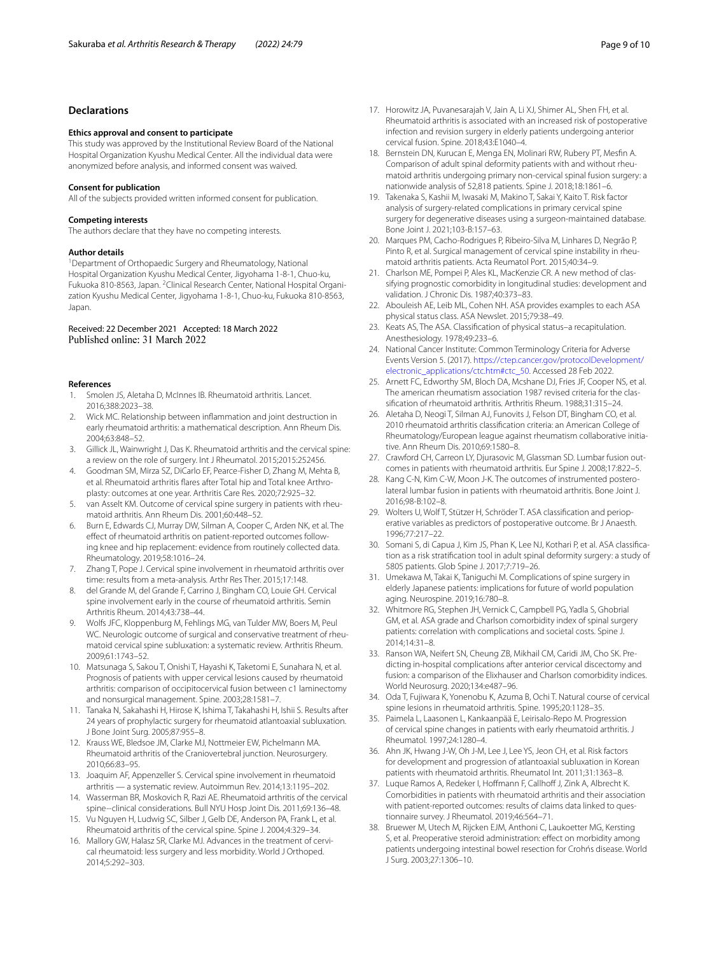## **Declarations**

#### **Ethics approval and consent to participate**

This study was approved by the Institutional Review Board of the National Hospital Organization Kyushu Medical Center. All the individual data were anonymized before analysis, and informed consent was waived.

#### **Consent for publication**

All of the subjects provided written informed consent for publication.

#### **Competing interests**

The authors declare that they have no competing interests.

#### **Author details**

<sup>1</sup> Department of Orthopaedic Surgery and Rheumatology, National Hospital Organization Kyushu Medical Center, Jigyohama 1‑8‑1, Chuo‑ku, Fukuoka 810-8563, Japan. <sup>2</sup>Clinical Research Center, National Hospital Organization Kyushu Medical Center, Jigyohama 1-8-1, Chuo-ku, Fukuoka 810-8563, Japan.

#### Received: 22 December 2021 Accepted: 18 March 2022 Published online: 31 March 2022

#### **References**

- <span id="page-8-0"></span>1. Smolen JS, Aletaha D, McInnes IB. Rheumatoid arthritis. Lancet. 2016;388:2023–38.
- 2. Wick MC. Relationship between infammation and joint destruction in early rheumatoid arthritis: a mathematical description. Ann Rheum Dis. 2004;63:848–52.
- <span id="page-8-1"></span>3. Gillick JL, Wainwright J, Das K. Rheumatoid arthritis and the cervical spine: a review on the role of surgery. Int J Rheumatol. 2015;2015:252456.
- 4. Goodman SM, Mirza SZ, DiCarlo EF, Pearce-Fisher D, Zhang M, Mehta B, et al. Rheumatoid arthritis flares after Total hip and Total knee Arthroplasty: outcomes at one year. Arthritis Care Res. 2020;72:925–32.
- 5. van Asselt KM. Outcome of cervical spine surgery in patients with rheumatoid arthritis. Ann Rheum Dis. 2001;60:448–52.
- <span id="page-8-2"></span>6. Burn E, Edwards CJ, Murray DW, Silman A, Cooper C, Arden NK, et al. The effect of rheumatoid arthritis on patient-reported outcomes following knee and hip replacement: evidence from routinely collected data. Rheumatology. 2019;58:1016–24.
- <span id="page-8-3"></span>7. Zhang T, Pope J. Cervical spine involvement in rheumatoid arthritis over time: results from a meta-analysis. Arthr Res Ther. 2015;17:148.
- <span id="page-8-4"></span>8. del Grande M, del Grande F, Carrino J, Bingham CO, Louie GH. Cervical spine involvement early in the course of rheumatoid arthritis. Semin Arthritis Rheum. 2014;43:738–44.
- <span id="page-8-5"></span>9. Wolfs JFC, Kloppenburg M, Fehlings MG, van Tulder MW, Boers M, Peul WC. Neurologic outcome of surgical and conservative treatment of rheumatoid cervical spine subluxation: a systematic review. Arthritis Rheum. 2009;61:1743–52.
- 10. Matsunaga S, Sakou T, Onishi T, Hayashi K, Taketomi E, Sunahara N, et al. Prognosis of patients with upper cervical lesions caused by rheumatoid arthritis: comparison of occipitocervical fusion between c1 laminectomy and nonsurgical management. Spine. 2003;28:1581–7.
- <span id="page-8-6"></span>11. Tanaka N, Sakahashi H, Hirose K, Ishima T, Takahashi H, Ishii S. Results after 24 years of prophylactic surgery for rheumatoid atlantoaxial subluxation. J Bone Joint Surg. 2005;87:955–8.
- <span id="page-8-7"></span>12. Krauss WE, Bledsoe JM, Clarke MJ, Nottmeier EW, Pichelmann MA. Rheumatoid arthritis of the Craniovertebral junction. Neurosurgery. 2010;66:83–95.
- <span id="page-8-9"></span>13. Joaquim AF, Appenzeller S. Cervical spine involvement in rheumatoid arthritis — a systematic review. Autoimmun Rev. 2014;13:1195–202.
- 14. Wasserman BR, Moskovich R, Razi AE. Rheumatoid arthritis of the cervical spine--clinical considerations. Bull NYU Hosp Joint Dis. 2011;69:136–48.
- 15. Vu Nguyen H, Ludwig SC, Silber J, Gelb DE, Anderson PA, Frank L, et al. Rheumatoid arthritis of the cervical spine. Spine J. 2004;4:329–34.
- <span id="page-8-8"></span>16. Mallory GW, Halasz SR, Clarke MJ. Advances in the treatment of cervical rheumatoid: less surgery and less morbidity. World J Orthoped. 2014;5:292–303.
- <span id="page-8-10"></span>17. Horowitz JA, Puvanesarajah V, Jain A, Li XJ, Shimer AL, Shen FH, et al. Rheumatoid arthritis is associated with an increased risk of postoperative infection and revision surgery in elderly patients undergoing anterior cervical fusion. Spine. 2018;43:E1040–4.
- <span id="page-8-18"></span>18. Bernstein DN, Kurucan E, Menga EN, Molinari RW, Rubery PT, Mesfn A. Comparison of adult spinal deformity patients with and without rheumatoid arthritis undergoing primary non-cervical spinal fusion surgery: a nationwide analysis of 52,818 patients. Spine J. 2018;18:1861–6.
- 19. Takenaka S, Kashii M, Iwasaki M, Makino T, Sakai Y, Kaito T. Risk factor analysis of surgery-related complications in primary cervical spine surgery for degenerative diseases using a surgeon-maintained database. Bone Joint J. 2021;103-B:157–63.
- <span id="page-8-11"></span>20. Marques PM, Cacho-Rodrigues P, Ribeiro-Silva M, Linhares D, Negrão P, Pinto R, et al. Surgical management of cervical spine instability in rheumatoid arthritis patients. Acta Reumatol Port. 2015;40:34–9.
- <span id="page-8-12"></span>21. Charlson ME, Pompei P, Ales KL, MacKenzie CR. A new method of classifying prognostic comorbidity in longitudinal studies: development and validation. J Chronic Dis. 1987;40:373–83.
- <span id="page-8-13"></span>22. Abouleish AE, Leib ML, Cohen NH. ASA provides examples to each ASA physical status class. ASA Newslet. 2015;79:38–49.
- <span id="page-8-14"></span>23. Keats AS, The ASA. Classifcation of physical status–a recapitulation. Anesthesiology. 1978;49:233–6.
- <span id="page-8-15"></span>24. National Cancer Institute: Common Terminology Criteria for Adverse Events Version 5. (2017). [https://ctep.cancer.gov/protocolDevelopment/](https://ctep.cancer.gov/protocolDevelopment/electronic_applications/ctc.htm#ctc_50) [electronic\\_applications/ctc.htm#ctc\\_50](https://ctep.cancer.gov/protocolDevelopment/electronic_applications/ctc.htm#ctc_50). Accessed 28 Feb 2022.
- <span id="page-8-16"></span>25. Arnett FC, Edworthy SM, Bloch DA, Mcshane DJ, Fries JF, Cooper NS, et al. The american rheumatism association 1987 revised criteria for the classifcation of rheumatoid arthritis. Arthritis Rheum. 1988;31:315–24.
- <span id="page-8-17"></span>26. Aletaha D, Neogi T, Silman AJ, Funovits J, Felson DT, Bingham CO, et al. 2010 rheumatoid arthritis classifcation criteria: an American College of Rheumatology/European league against rheumatism collaborative initiative. Ann Rheum Dis. 2010;69:1580–8.
- <span id="page-8-19"></span>27. Crawford CH, Carreon LY, Djurasovic M, Glassman SD. Lumbar fusion outcomes in patients with rheumatoid arthritis. Eur Spine J. 2008;17:822–5.
- <span id="page-8-20"></span>28. Kang C-N, Kim C-W, Moon J-K. The outcomes of instrumented posterolateral lumbar fusion in patients with rheumatoid arthritis. Bone Joint J. 2016;98-B:102–8.
- <span id="page-8-21"></span>29. Wolters U, Wolf T, Stützer H, Schröder T. ASA classification and perioperative variables as predictors of postoperative outcome. Br J Anaesth. 1996;77:217–22.
- 30. Somani S, di Capua J, Kim JS, Phan K, Lee NJ, Kothari P, et al. ASA classification as a risk stratifcation tool in adult spinal deformity surgery: a study of 5805 patients. Glob Spine J. 2017;7:719–26.
- <span id="page-8-22"></span>31. Umekawa M, Takai K, Taniguchi M. Complications of spine surgery in elderly Japanese patients: implications for future of world population aging. Neurospine. 2019;16:780–8.
- <span id="page-8-23"></span>32. Whitmore RG, Stephen JH, Vernick C, Campbell PG, Yadla S, Ghobrial GM, et al. ASA grade and Charlson comorbidity index of spinal surgery patients: correlation with complications and societal costs. Spine J. 2014;14:31–8.
- <span id="page-8-24"></span>33. Ranson WA, Neifert SN, Cheung ZB, Mikhail CM, Caridi JM, Cho SK. Predicting in-hospital complications after anterior cervical discectomy and fusion: a comparison of the Elixhauser and Charlson comorbidity indices. World Neurosurg. 2020;134:e487–96.
- <span id="page-8-25"></span>34. Oda T, Fujiwara K, Yonenobu K, Azuma B, Ochi T. Natural course of cervical spine lesions in rheumatoid arthritis. Spine. 1995;20:1128–35.
- <span id="page-8-26"></span>35. Paimela L, Laasonen L, Kankaanpää E, Leirisalo-Repo M. Progression of cervical spine changes in patients with early rheumatoid arthritis. J Rheumatol. 1997;24:1280–4.
- <span id="page-8-27"></span>36. Ahn JK, Hwang J-W, Oh J-M, Lee J, Lee YS, Jeon CH, et al. Risk factors for development and progression of atlantoaxial subluxation in Korean patients with rheumatoid arthritis. Rheumatol Int. 2011;31:1363–8.
- <span id="page-8-28"></span>37. Luque Ramos A, Redeker I, Hoffmann F, Callhoff J, Zink A, Albrecht K. Comorbidities in patients with rheumatoid arthritis and their association with patient-reported outcomes: results of claims data linked to questionnaire survey. J Rheumatol. 2019;46:564–71.
- <span id="page-8-29"></span>38. Bruewer M, Utech M, Rijcken EJM, Anthoni C, Laukoetter MG, Kersting S, et al. Preoperative steroid administration: effect on morbidity among patients undergoing intestinal bowel resection for Crohńs disease. World J Surg. 2003;27:1306–10.